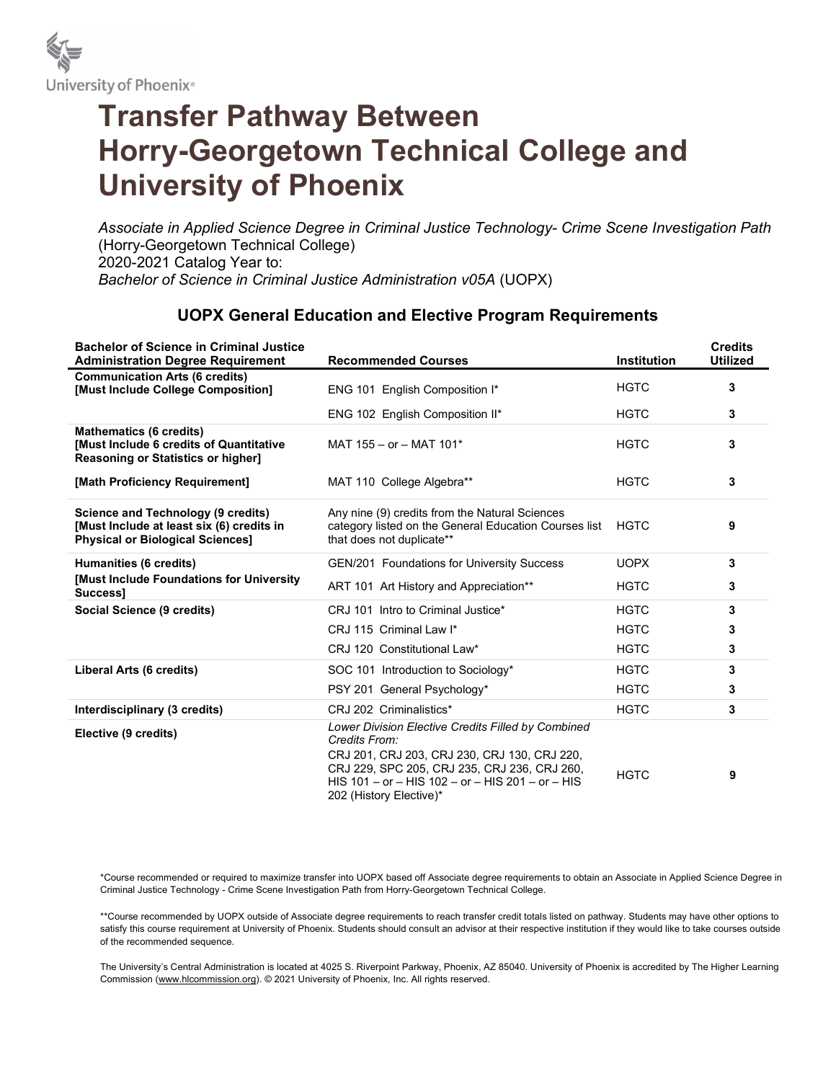

# Transfer Pathway Between Horry-Georgetown Technical College and University of Phoenix

Associate in Applied Science Degree in Criminal Justice Technology- Crime Scene Investigation Path (Horry-Georgetown Technical College) 2020-2021 Catalog Year to: Bachelor of Science in Criminal Justice Administration v05A (UOPX)

## UOPX General Education and Elective Program Requirements

| <b>Bachelor of Science in Criminal Justice</b><br><b>Administration Degree Requirement</b>                                        | <b>Recommended Courses</b>                                                                                                                                                                                                                         | <b>Institution</b> | <b>Credits</b><br><b>Utilized</b> |
|-----------------------------------------------------------------------------------------------------------------------------------|----------------------------------------------------------------------------------------------------------------------------------------------------------------------------------------------------------------------------------------------------|--------------------|-----------------------------------|
| <b>Communication Arts (6 credits)</b><br>[Must Include College Composition]                                                       | ENG 101 English Composition I*                                                                                                                                                                                                                     | <b>HGTC</b>        | 3                                 |
|                                                                                                                                   | ENG 102 English Composition II*                                                                                                                                                                                                                    | <b>HGTC</b>        | 3                                 |
| <b>Mathematics (6 credits)</b><br><b>[Must Include 6 credits of Quantitative</b><br><b>Reasoning or Statistics or higher]</b>     | MAT 155 - or - MAT 101*                                                                                                                                                                                                                            | <b>HGTC</b>        | 3                                 |
| [Math Proficiency Requirement]                                                                                                    | MAT 110 College Algebra**                                                                                                                                                                                                                          | <b>HGTC</b>        | 3                                 |
| <b>Science and Technology (9 credits)</b><br>[Must Include at least six (6) credits in<br><b>Physical or Biological Sciences]</b> | Any nine (9) credits from the Natural Sciences<br>category listed on the General Education Courses list<br>that does not duplicate**                                                                                                               | <b>HGTC</b>        | 9                                 |
| <b>Humanities (6 credits)</b>                                                                                                     | GEN/201 Foundations for University Success                                                                                                                                                                                                         | <b>UOPX</b>        | 3                                 |
| [Must Include Foundations for University<br>Success1                                                                              | ART 101 Art History and Appreciation**                                                                                                                                                                                                             | <b>HGTC</b>        | 3                                 |
| Social Science (9 credits)                                                                                                        | CRJ 101 Intro to Criminal Justice*                                                                                                                                                                                                                 | <b>HGTC</b>        | 3                                 |
|                                                                                                                                   | CRJ 115 Criminal Law I*                                                                                                                                                                                                                            | <b>HGTC</b>        | 3                                 |
|                                                                                                                                   | CRJ 120 Constitutional Law*                                                                                                                                                                                                                        | <b>HGTC</b>        | 3                                 |
| Liberal Arts (6 credits)                                                                                                          | SOC 101 Introduction to Sociology*                                                                                                                                                                                                                 | <b>HGTC</b>        | 3                                 |
|                                                                                                                                   | PSY 201 General Psychology*                                                                                                                                                                                                                        | <b>HGTC</b>        | 3                                 |
| Interdisciplinary (3 credits)                                                                                                     | CRJ 202 Criminalistics*                                                                                                                                                                                                                            | <b>HGTC</b>        | 3                                 |
| Elective (9 credits)                                                                                                              | Lower Division Elective Credits Filled by Combined<br>Credits From:<br>CRJ 201, CRJ 203, CRJ 230, CRJ 130, CRJ 220,<br>CRJ 229, SPC 205, CRJ 235, CRJ 236, CRJ 260,<br>HIS 101 - or - HIS 102 - or - HIS 201 - or - HIS<br>202 (History Elective)* | <b>HGTC</b>        | 9                                 |

\*Course recommended or required to maximize transfer into UOPX based off Associate degree requirements to obtain an Associate in Applied Science Degree in Criminal Justice Technology - Crime Scene Investigation Path from Horry-Georgetown Technical College.

\*\*Course recommended by UOPX outside of Associate degree requirements to reach transfer credit totals listed on pathway. Students may have other options to satisfy this course requirement at University of Phoenix. Students should consult an advisor at their respective institution if they would like to take courses outside of the recommended sequence.

The University's Central Administration is located at 4025 S. Riverpoint Parkway, Phoenix, AZ 85040. University of Phoenix is accredited by The Higher Learning Commission (www.hlcommission.org). © 2021 University of Phoenix, Inc. All rights reserved.